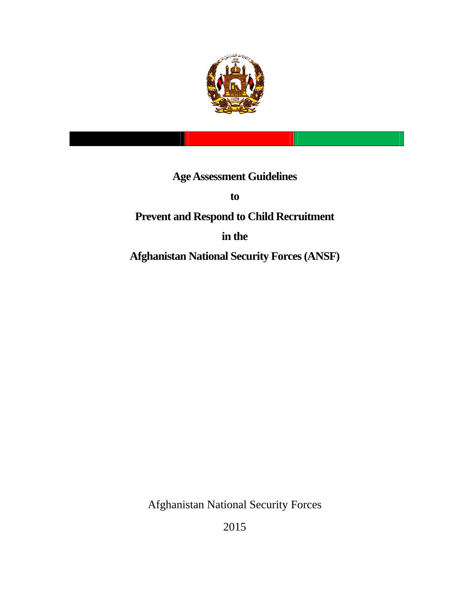

# **Age Assessment Guidelines**

**to** 

# **Prevent and Respond to Child Recruitment**

## **in the**

**Afghanistan National Security Forces (ANSF)** 

Afghanistan National Security Forces

2015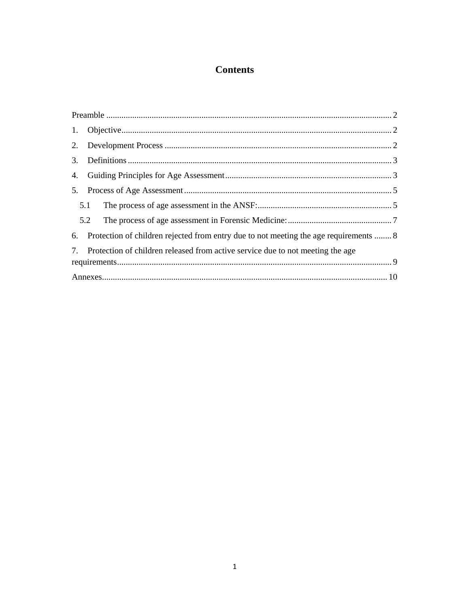## **Contents**

| 6. Protection of children rejected from entry due to not meeting the age requirements  8 |  |
|------------------------------------------------------------------------------------------|--|
| 7. Protection of children released from active service due to not meeting the age        |  |
|                                                                                          |  |
|                                                                                          |  |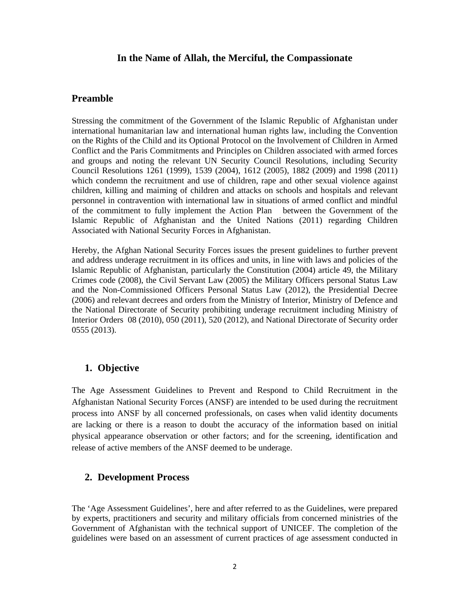#### **In the Name of Allah, the Merciful, the Compassionate**

#### **Preamble**

Stressing the commitment of the Government of the Islamic Republic of Afghanistan under international humanitarian law and international human rights law, including the Convention on the Rights of the Child and its Optional Protocol on the Involvement of Children in Armed Conflict and the Paris Commitments and Principles on Children associated with armed forces and groups and noting the relevant UN Security Council Resolutions, including Security Council Resolutions 1261 (1999), 1539 (2004), 1612 (2005), 1882 (2009) and 1998 (2011) which condemn the recruitment and use of children, rape and other sexual violence against children, killing and maiming of children and attacks on schools and hospitals and relevant personnel in contravention with international law in situations of armed conflict and mindful of the commitment to fully implement the Action Plan between the Government of the Islamic Republic of Afghanistan and the United Nations (2011) regarding Children Associated with National Security Forces in Afghanistan.

Hereby, the Afghan National Security Forces issues the present guidelines to further prevent and address underage recruitment in its offices and units, in line with laws and policies of the Islamic Republic of Afghanistan, particularly the Constitution (2004) article 49, the Military Crimes code (2008), the Civil Servant Law (2005) the Military Officers personal Status Law and the Non-Commissioned Officers Personal Status Law (2012), the Presidential Decree (2006) and relevant decrees and orders from the Ministry of Interior, Ministry of Defence and the National Directorate of Security prohibiting underage recruitment including Ministry of Interior Orders 08 (2010), 050 (2011), 520 (2012), and National Directorate of Security order 0555 (2013).

### **1. Objective**

The Age Assessment Guidelines to Prevent and Respond to Child Recruitment in the Afghanistan National Security Forces (ANSF) are intended to be used during the recruitment process into ANSF by all concerned professionals, on cases when valid identity documents are lacking or there is a reason to doubt the accuracy of the information based on initial physical appearance observation or other factors; and for the screening, identification and release of active members of the ANSF deemed to be underage.

### **2. Development Process**

The 'Age Assessment Guidelines', here and after referred to as the Guidelines, were prepared by experts, practitioners and security and military officials from concerned ministries of the Government of Afghanistan with the technical support of UNICEF. The completion of the guidelines were based on an assessment of current practices of age assessment conducted in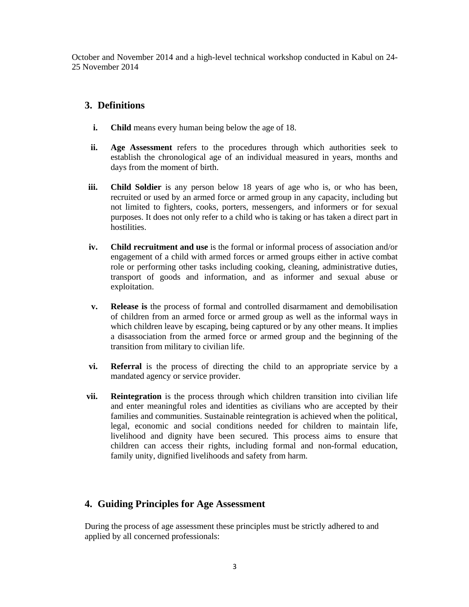October and November 2014 and a high-level technical workshop conducted in Kabul on 24- 25 November 2014

### **3. Definitions**

- **i. Child** means every human being below the age of 18.
- **ii. Age Assessment** refers to the procedures through which authorities seek to establish the chronological age of an individual measured in years, months and days from the moment of birth.
- **iii. Child Soldier** is any person below 18 years of age who is, or who has been, recruited or used by an armed force or armed group in any capacity, including but not limited to fighters, cooks, porters, messengers, and informers or for sexual purposes. It does not only refer to a child who is taking or has taken a direct part in hostilities.
- **iv. Child recruitment and use** is the formal or informal process of association and/or engagement of a child with armed forces or armed groups either in active combat role or performing other tasks including cooking, cleaning, administrative duties, transport of goods and information, and as informer and sexual abuse or exploitation.
- **v. Release is** the process of formal and controlled disarmament and demobilisation of children from an armed force or armed group as well as the informal ways in which children leave by escaping, being captured or by any other means. It implies a disassociation from the armed force or armed group and the beginning of the transition from military to civilian life.
- **vi. Referral** is the process of directing the child to an appropriate service by a mandated agency or service provider.
- **vii. Reintegration** is the process through which children transition into civilian life and enter meaningful roles and identities as civilians who are accepted by their families and communities. Sustainable reintegration is achieved when the political, legal, economic and social conditions needed for children to maintain life, livelihood and dignity have been secured. This process aims to ensure that children can access their rights, including formal and non-formal education, family unity, dignified livelihoods and safety from harm.

## **4. Guiding Principles for Age Assessment**

During the process of age assessment these principles must be strictly adhered to and applied by all concerned professionals: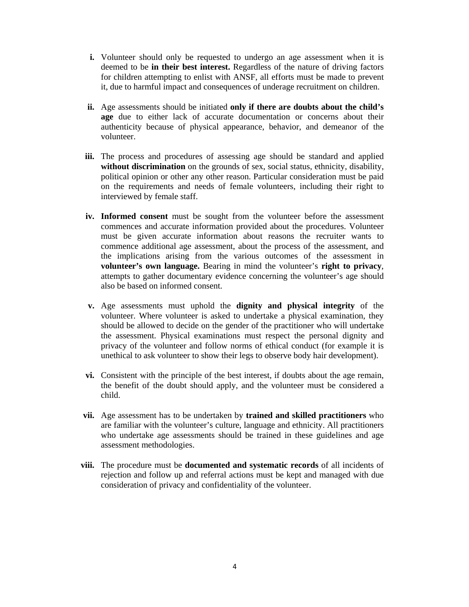- **i.** Volunteer should only be requested to undergo an age assessment when it is deemed to be **in their best interest.** Regardless of the nature of driving factors for children attempting to enlist with ANSF, all efforts must be made to prevent it, due to harmful impact and consequences of underage recruitment on children.
- **ii.** Age assessments should be initiated **only if there are doubts about the child's age** due to either lack of accurate documentation or concerns about their authenticity because of physical appearance, behavior, and demeanor of the volunteer.
- **iii.** The process and procedures of assessing age should be standard and applied **without discrimination** on the grounds of sex, social status, ethnicity, disability, political opinion or other any other reason. Particular consideration must be paid on the requirements and needs of female volunteers, including their right to interviewed by female staff.
- **iv. Informed consent** must be sought from the volunteer before the assessment commences and accurate information provided about the procedures. Volunteer must be given accurate information about reasons the recruiter wants to commence additional age assessment, about the process of the assessment, and the implications arising from the various outcomes of the assessment in **volunteer's own language.** Bearing in mind the volunteer's **right to privacy**, attempts to gather documentary evidence concerning the volunteer's age should also be based on informed consent.
- **v.** Age assessments must uphold the **dignity and physical integrity** of the volunteer. Where volunteer is asked to undertake a physical examination, they should be allowed to decide on the gender of the practitioner who will undertake the assessment. Physical examinations must respect the personal dignity and privacy of the volunteer and follow norms of ethical conduct (for example it is unethical to ask volunteer to show their legs to observe body hair development).
- **vi.** Consistent with the principle of the best interest, if doubts about the age remain, the benefit of the doubt should apply, and the volunteer must be considered a child.
- **vii.** Age assessment has to be undertaken by **trained and skilled practitioners** who are familiar with the volunteer's culture, language and ethnicity. All practitioners who undertake age assessments should be trained in these guidelines and age assessment methodologies.
- **viii.** The procedure must be **documented and systematic records** of all incidents of rejection and follow up and referral actions must be kept and managed with due consideration of privacy and confidentiality of the volunteer.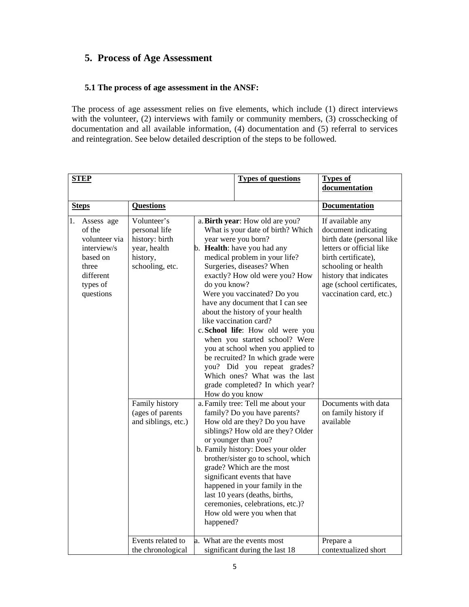### **5. Process of Age Assessment**

#### **5.1 The process of age assessment in the ANSF:**

The process of age assessment relies on five elements, which include (1) direct interviews with the volunteer, (2) interviews with family or community members, (3) crosschecking of documentation and all available information, (4) documentation and (5) referral to services and reintegration. See below detailed description of the steps to be followed.

| <b>STEP</b>                                                                                                           |                                                                                               | <b>Types of questions</b>                                                                                                                                                                                                                                                                                                                                                                                                                                                                                                                                                                                                                       | <b>Types of</b><br>documentation                                                                                                                                                                                                 |
|-----------------------------------------------------------------------------------------------------------------------|-----------------------------------------------------------------------------------------------|-------------------------------------------------------------------------------------------------------------------------------------------------------------------------------------------------------------------------------------------------------------------------------------------------------------------------------------------------------------------------------------------------------------------------------------------------------------------------------------------------------------------------------------------------------------------------------------------------------------------------------------------------|----------------------------------------------------------------------------------------------------------------------------------------------------------------------------------------------------------------------------------|
| <b>Steps</b>                                                                                                          | <b>Questions</b>                                                                              |                                                                                                                                                                                                                                                                                                                                                                                                                                                                                                                                                                                                                                                 | <b>Documentation</b>                                                                                                                                                                                                             |
| 1.<br>Assess age<br>of the<br>volunteer via<br>interview/s<br>based on<br>three<br>different<br>types of<br>questions | Volunteer's<br>personal life<br>history: birth<br>year, health<br>history,<br>schooling, etc. | a. Birth year: How old are you?<br>What is your date of birth? Which<br>year were you born?<br>b. Health: have you had any<br>medical problem in your life?<br>Surgeries, diseases? When<br>exactly? How old were you? How<br>do you know?<br>Were you vaccinated? Do you<br>have any document that I can see<br>about the history of your health<br>like vaccination card?<br>c.School life: How old were you<br>when you started school? Were<br>you at school when you applied to<br>be recruited? In which grade were<br>you? Did you repeat grades?<br>Which ones? What was the last<br>grade completed? In which year?<br>How do you know | If available any<br>document indicating<br>birth date (personal like<br>letters or official like<br>birth certificate),<br>schooling or health<br>history that indicates<br>age (school certificates,<br>vaccination card, etc.) |
|                                                                                                                       | Family history<br>(ages of parents<br>and siblings, etc.)                                     | a. Family tree: Tell me about your<br>family? Do you have parents?<br>How old are they? Do you have<br>siblings? How old are they? Older<br>or younger than you?<br>b. Family history: Does your older<br>brother/sister go to school, which<br>grade? Which are the most<br>significant events that have<br>happened in your family in the<br>last 10 years (deaths, births,<br>ceremonies, celebrations, etc.)?<br>How old were you when that<br>happened?                                                                                                                                                                                    | Documents with data<br>on family history if<br>available                                                                                                                                                                         |
|                                                                                                                       | Events related to<br>the chronological                                                        | What are the events most<br>$\mathbf{a}$ .<br>significant during the last 18                                                                                                                                                                                                                                                                                                                                                                                                                                                                                                                                                                    | Prepare a<br>contextualized short                                                                                                                                                                                                |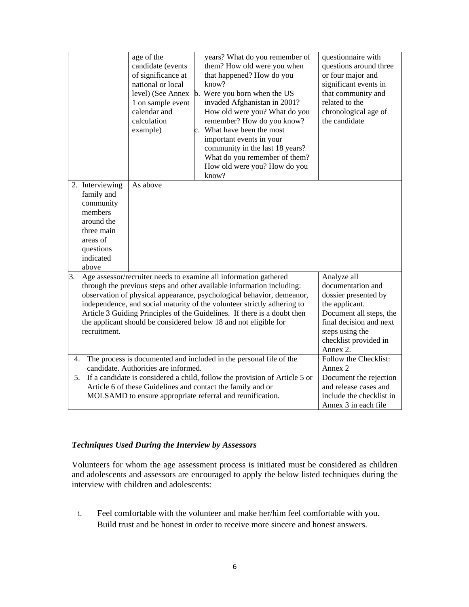|    |                                                                                                                                                                                                        | age of the<br>candidate (events<br>of significance at<br>national or local<br>level) (See Annex<br>1 on sample event<br>calendar and<br>calculation<br>example) | years? What do you remember of<br>them? How old were you when<br>that happened? How do you<br>know?<br>b. Were you born when the US<br>invaded Afghanistan in 2001?<br>How old were you? What do you<br>remember? How do you know?<br>c. What have been the most<br>important events in your<br>community in the last 18 years?<br>What do you remember of them?<br>How old were you? How do you<br>know?                                     | questionnaire with<br>questions around three<br>or four major and<br>significant events in<br>that community and<br>related to the<br>chronological age of<br>the candidate              |
|----|--------------------------------------------------------------------------------------------------------------------------------------------------------------------------------------------------------|-----------------------------------------------------------------------------------------------------------------------------------------------------------------|-----------------------------------------------------------------------------------------------------------------------------------------------------------------------------------------------------------------------------------------------------------------------------------------------------------------------------------------------------------------------------------------------------------------------------------------------|------------------------------------------------------------------------------------------------------------------------------------------------------------------------------------------|
|    | 2. Interviewing<br>family and<br>community<br>members<br>around the<br>three main<br>areas of<br>questions<br>indicated<br>above                                                                       | As above                                                                                                                                                        |                                                                                                                                                                                                                                                                                                                                                                                                                                               |                                                                                                                                                                                          |
| 3. | recruitment.                                                                                                                                                                                           |                                                                                                                                                                 | Age assessor/recruiter needs to examine all information gathered<br>through the previous steps and other available information including:<br>observation of physical appearance, psychological behavior, demeanor,<br>independence, and social maturity of the volunteer strictly adhering to<br>Article 3 Guiding Principles of the Guidelines. If there is a doubt then<br>the applicant should be considered below 18 and not eligible for | Analyze all<br>documentation and<br>dossier presented by<br>the applicant.<br>Document all steps, the<br>final decision and next<br>steps using the<br>checklist provided in<br>Annex 2. |
| 4. |                                                                                                                                                                                                        | candidate. Authorities are informed.                                                                                                                            | The process is documented and included in the personal file of the                                                                                                                                                                                                                                                                                                                                                                            | Follow the Checklist:<br>Annex 2                                                                                                                                                         |
| 5. | If a candidate is considered a child, follow the provision of Article 5 or<br>Article 6 of these Guidelines and contact the family and or<br>MOLSAMD to ensure appropriate referral and reunification. | Document the rejection<br>and release cases and<br>include the checklist in<br>Annex 3 in each file                                                             |                                                                                                                                                                                                                                                                                                                                                                                                                                               |                                                                                                                                                                                          |

#### *Techniques Used During the Interview by Assessors*

Volunteers for whom the age assessment process is initiated must be considered as children and adolescents and assessors are encouraged to apply the below listed techniques during the interview with children and adolescents:

i. Feel comfortable with the volunteer and make her/him feel comfortable with you. Build trust and be honest in order to receive more sincere and honest answers.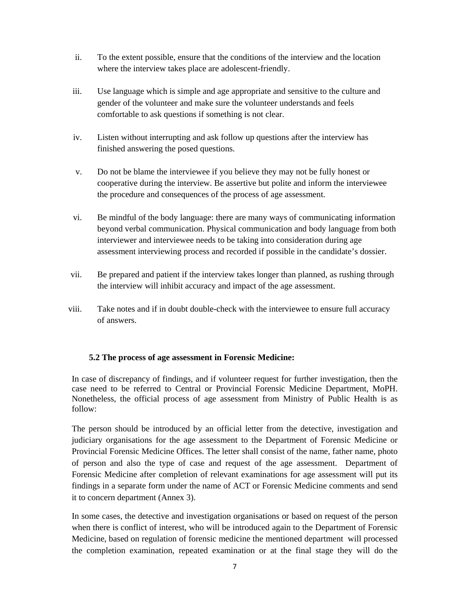- ii. To the extent possible, ensure that the conditions of the interview and the location where the interview takes place are adolescent-friendly.
- iii. Use language which is simple and age appropriate and sensitive to the culture and gender of the volunteer and make sure the volunteer understands and feels comfortable to ask questions if something is not clear.
- iv. Listen without interrupting and ask follow up questions after the interview has finished answering the posed questions.
- v. Do not be blame the interviewee if you believe they may not be fully honest or cooperative during the interview. Be assertive but polite and inform the interviewee the procedure and consequences of the process of age assessment.
- vi. Be mindful of the body language: there are many ways of communicating information beyond verbal communication. Physical communication and body language from both interviewer and interviewee needs to be taking into consideration during age assessment interviewing process and recorded if possible in the candidate's dossier.
- vii. Be prepared and patient if the interview takes longer than planned, as rushing through the interview will inhibit accuracy and impact of the age assessment.
- viii. Take notes and if in doubt double-check with the interviewee to ensure full accuracy of answers.

#### **5.2 The process of age assessment in Forensic Medicine:**

In case of discrepancy of findings, and if volunteer request for further investigation, then the case need to be referred to Central or Provincial Forensic Medicine Department, MoPH. Nonetheless, the official process of age assessment from Ministry of Public Health is as follow:

The person should be introduced by an official letter from the detective, investigation and judiciary organisations for the age assessment to the Department of Forensic Medicine or Provincial Forensic Medicine Offices. The letter shall consist of the name, father name, photo of person and also the type of case and request of the age assessment. Department of Forensic Medicine after completion of relevant examinations for age assessment will put its findings in a separate form under the name of ACT or Forensic Medicine comments and send it to concern department (Annex 3).

In some cases, the detective and investigation organisations or based on request of the person when there is conflict of interest, who will be introduced again to the Department of Forensic Medicine, based on regulation of forensic medicine the mentioned department will processed the completion examination, repeated examination or at the final stage they will do the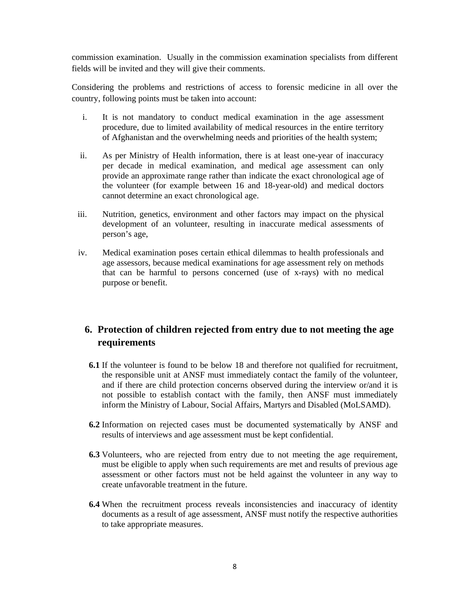commission examination. Usually in the commission examination specialists from different fields will be invited and they will give their comments.

Considering the problems and restrictions of access to forensic medicine in all over the country, following points must be taken into account:

- i. It is not mandatory to conduct medical examination in the age assessment procedure, due to limited availability of medical resources in the entire territory of Afghanistan and the overwhelming needs and priorities of the health system;
- ii. As per Ministry of Health information, there is at least one-year of inaccuracy per decade in medical examination, and medical age assessment can only provide an approximate range rather than indicate the exact chronological age of the volunteer (for example between 16 and 18-year-old) and medical doctors cannot determine an exact chronological age.
- iii. Nutrition, genetics, environment and other factors may impact on the physical development of an volunteer, resulting in inaccurate medical assessments of person's age,
- iv. Medical examination poses certain ethical dilemmas to health professionals and age assessors, because medical examinations for age assessment rely on methods that can be harmful to persons concerned (use of x-rays) with no medical purpose or benefit.

## **6. Protection of children rejected from entry due to not meeting the age requirements**

- **6.1** If the volunteer is found to be below 18 and therefore not qualified for recruitment, the responsible unit at ANSF must immediately contact the family of the volunteer, and if there are child protection concerns observed during the interview or/and it is not possible to establish contact with the family, then ANSF must immediately inform the Ministry of Labour, Social Affairs, Martyrs and Disabled (MoLSAMD).
- **6.2** Information on rejected cases must be documented systematically by ANSF and results of interviews and age assessment must be kept confidential.
- **6.3** Volunteers, who are rejected from entry due to not meeting the age requirement, must be eligible to apply when such requirements are met and results of previous age assessment or other factors must not be held against the volunteer in any way to create unfavorable treatment in the future.
- **6.4** When the recruitment process reveals inconsistencies and inaccuracy of identity documents as a result of age assessment, ANSF must notify the respective authorities to take appropriate measures.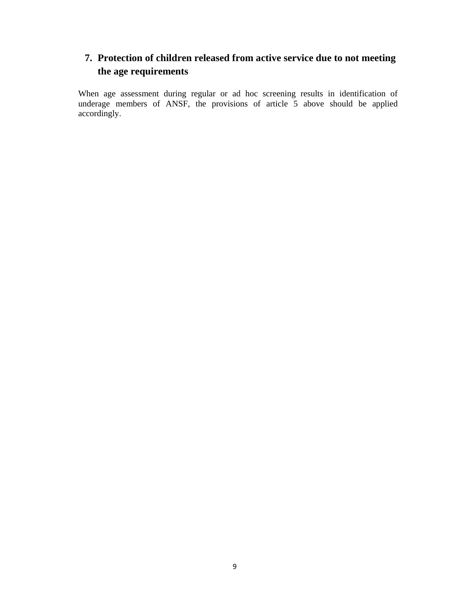## **7. Protection of children released from active service due to not meeting the age requirements**

When age assessment during regular or ad hoc screening results in identification of underage members of ANSF, the provisions of article 5 above should be applied accordingly.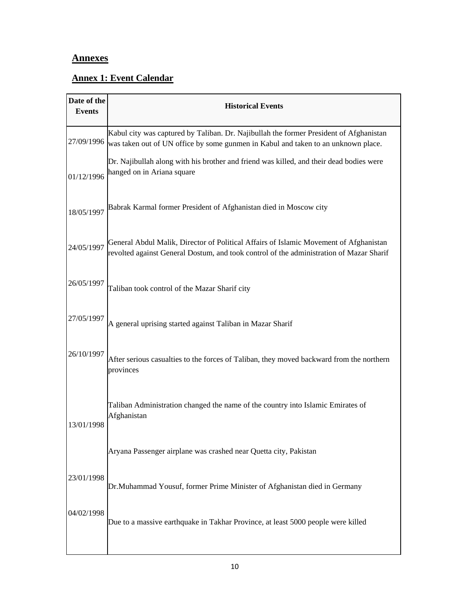## **Annexes**

r

## **Annex 1: Event Calendar**

| Date of the<br><b>Events</b>                                                           | <b>Historical Events</b>                                                                                                                                                         |  |  |  |  |  |  |  |  |
|----------------------------------------------------------------------------------------|----------------------------------------------------------------------------------------------------------------------------------------------------------------------------------|--|--|--|--|--|--|--|--|
| 27/09/1996                                                                             | Kabul city was captured by Taliban. Dr. Najibullah the former President of Afghanistan<br>was taken out of UN office by some gunmen in Kabul and taken to an unknown place.      |  |  |  |  |  |  |  |  |
| 01/12/1996                                                                             | Dr. Najibullah along with his brother and friend was killed, and their dead bodies were<br>hanged on in Ariana square                                                            |  |  |  |  |  |  |  |  |
| 18/05/1997                                                                             | Babrak Karmal former President of Afghanistan died in Moscow city                                                                                                                |  |  |  |  |  |  |  |  |
| 24/05/1997                                                                             | General Abdul Malik, Director of Political Affairs of Islamic Movement of Afghanistan<br>revolted against General Dostum, and took control of the administration of Mazar Sharif |  |  |  |  |  |  |  |  |
| 26/05/1997                                                                             | Taliban took control of the Mazar Sharif city                                                                                                                                    |  |  |  |  |  |  |  |  |
| 27/05/1997                                                                             | A general uprising started against Taliban in Mazar Sharif                                                                                                                       |  |  |  |  |  |  |  |  |
| 26/10/1997                                                                             | After serious casualties to the forces of Taliban, they moved backward from the northern<br>provinces                                                                            |  |  |  |  |  |  |  |  |
| 13/01/1998                                                                             | Taliban Administration changed the name of the country into Islamic Emirates of<br>Afghanistan                                                                                   |  |  |  |  |  |  |  |  |
|                                                                                        | Aryana Passenger airplane was crashed near Quetta city, Pakistan                                                                                                                 |  |  |  |  |  |  |  |  |
| 23/01/1998<br>Dr.Muhammad Yousuf, former Prime Minister of Afghanistan died in Germany |                                                                                                                                                                                  |  |  |  |  |  |  |  |  |
| 04/02/1998                                                                             | Due to a massive earthquake in Takhar Province, at least 5000 people were killed                                                                                                 |  |  |  |  |  |  |  |  |
|                                                                                        |                                                                                                                                                                                  |  |  |  |  |  |  |  |  |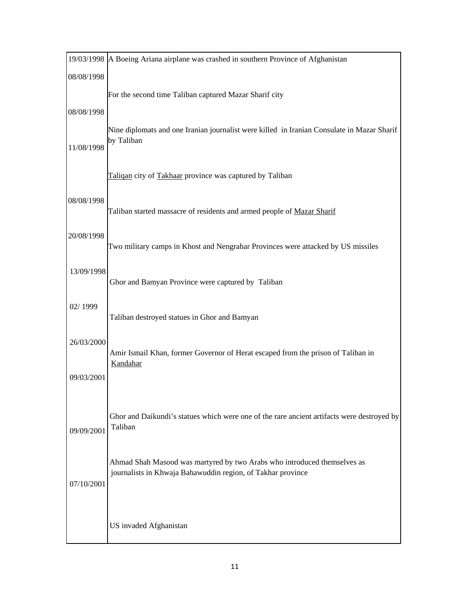|            | 19/03/1998 A Boeing Ariana airplane was crashed in southern Province of Afghanistan                   |
|------------|-------------------------------------------------------------------------------------------------------|
| 08/08/1998 |                                                                                                       |
|            | For the second time Taliban captured Mazar Sharif city                                                |
| 08/08/1998 |                                                                                                       |
|            | Nine diplomats and one Iranian journalist were killed in Iranian Consulate in Mazar Sharif            |
| 11/08/1998 | by Taliban                                                                                            |
|            |                                                                                                       |
|            | Taliqan city of Takhaar province was captured by Taliban                                              |
| 08/08/1998 |                                                                                                       |
|            | Taliban started massacre of residents and armed people of Mazar Sharif                                |
| 20/08/1998 |                                                                                                       |
|            | Two military camps in Khost and Nengrahar Provinces were attacked by US missiles                      |
| 13/09/1998 |                                                                                                       |
|            | Ghor and Bamyan Province were captured by Taliban                                                     |
| 02/1999    |                                                                                                       |
|            | Taliban destroyed statues in Ghor and Bamyan                                                          |
| 26/03/2000 |                                                                                                       |
|            | Amir Ismail Khan, former Governor of Herat escaped from the prison of Taliban in<br>Kandahar          |
| 09/03/2001 |                                                                                                       |
|            |                                                                                                       |
|            |                                                                                                       |
| 09/09/2001 | Ghor and Daikundi's statues which were one of the rare ancient artifacts were destroyed by<br>Taliban |
|            |                                                                                                       |
|            | Ahmad Shah Masood was martyred by two Arabs who introduced themselves as                              |
| 07/10/2001 | journalists in Khwaja Bahawuddin region, of Takhar province                                           |
|            |                                                                                                       |
|            |                                                                                                       |
|            | US invaded Afghanistan                                                                                |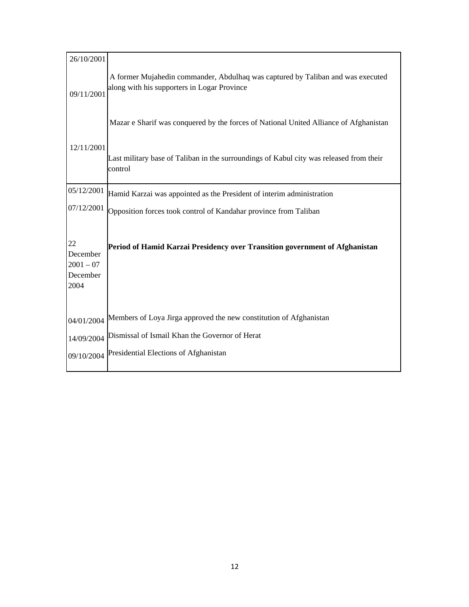| 26/10/2001                                        |                                                                                                                                |  |  |  |  |  |
|---------------------------------------------------|--------------------------------------------------------------------------------------------------------------------------------|--|--|--|--|--|
| 09/11/2001                                        | A former Mujahedin commander, Abdulhaq was captured by Taliban and was executed<br>along with his supporters in Logar Province |  |  |  |  |  |
|                                                   | Mazar e Sharif was conquered by the forces of National United Alliance of Afghanistan                                          |  |  |  |  |  |
| 12/11/2001                                        | Last military base of Taliban in the surroundings of Kabul city was released from their<br>control                             |  |  |  |  |  |
| 05/12/2001                                        | Hamid Karzai was appointed as the President of interim administration                                                          |  |  |  |  |  |
| 07/12/2001                                        | Opposition forces took control of Kandahar province from Taliban                                                               |  |  |  |  |  |
| 22<br>December<br>$2001 - 07$<br>December<br>2004 | Period of Hamid Karzai Presidency over Transition government of Afghanistan                                                    |  |  |  |  |  |
| 04/01/2004                                        | Members of Loya Jirga approved the new constitution of Afghanistan                                                             |  |  |  |  |  |
| 14/09/2004                                        | Dismissal of Ismail Khan the Governor of Herat                                                                                 |  |  |  |  |  |
| 09/10/2004                                        | Presidential Elections of Afghanistan                                                                                          |  |  |  |  |  |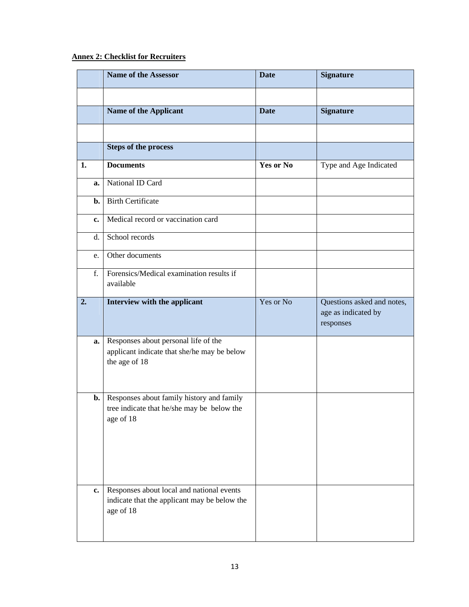## **Annex 2: Checklist for Recruiters**

|    |          | <b>Name of the Assessor</b>                                                                                                                       | <b>Date</b>      | <b>Signature</b>                                               |
|----|----------|---------------------------------------------------------------------------------------------------------------------------------------------------|------------------|----------------------------------------------------------------|
|    |          |                                                                                                                                                   |                  |                                                                |
|    |          | Name of the Applicant                                                                                                                             | <b>Date</b>      | <b>Signature</b>                                               |
|    |          |                                                                                                                                                   |                  |                                                                |
|    |          | <b>Steps of the process</b>                                                                                                                       |                  |                                                                |
| 1. |          | <b>Documents</b>                                                                                                                                  | <b>Yes or No</b> | Type and Age Indicated                                         |
|    | a.       | National ID Card                                                                                                                                  |                  |                                                                |
|    | b.       | <b>Birth Certificate</b>                                                                                                                          |                  |                                                                |
|    | c.       | Medical record or vaccination card                                                                                                                |                  |                                                                |
|    | d.       | School records                                                                                                                                    |                  |                                                                |
|    | e.       | Other documents                                                                                                                                   |                  |                                                                |
|    | f.       | Forensics/Medical examination results if<br>available                                                                                             |                  |                                                                |
| 2. |          | Interview with the applicant                                                                                                                      | Yes or No        | Questions asked and notes,<br>age as indicated by<br>responses |
|    | a.<br>b. | Responses about personal life of the<br>applicant indicate that she/he may be below<br>the age of 18<br>Responses about family history and family |                  |                                                                |
|    |          | tree indicate that he/she may be below the<br>age of 18                                                                                           |                  |                                                                |
|    | c.       | Responses about local and national events<br>indicate that the applicant may be below the<br>age of 18                                            |                  |                                                                |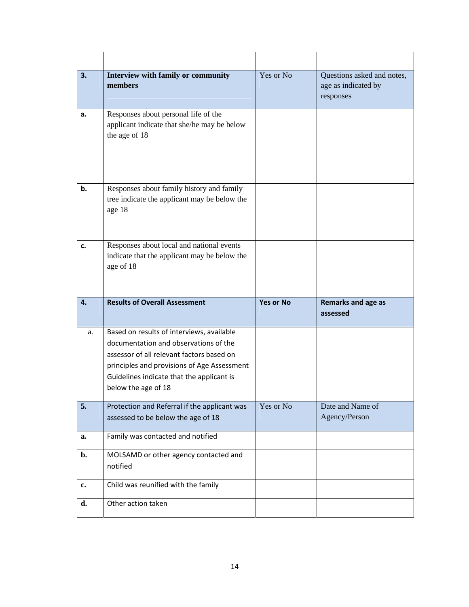| 3. | Interview with family or community<br>members                                                                                                                                                                                                      | Yes or No        | Questions asked and notes,<br>age as indicated by<br>responses |
|----|----------------------------------------------------------------------------------------------------------------------------------------------------------------------------------------------------------------------------------------------------|------------------|----------------------------------------------------------------|
| a. | Responses about personal life of the<br>applicant indicate that she/he may be below<br>the age of 18                                                                                                                                               |                  |                                                                |
| b. | Responses about family history and family<br>tree indicate the applicant may be below the<br>age 18                                                                                                                                                |                  |                                                                |
| c. | Responses about local and national events<br>indicate that the applicant may be below the<br>age of 18                                                                                                                                             |                  |                                                                |
|    |                                                                                                                                                                                                                                                    |                  |                                                                |
| 4. | <b>Results of Overall Assessment</b>                                                                                                                                                                                                               | <b>Yes or No</b> | Remarks and age as<br>assessed                                 |
| a. | Based on results of interviews, available<br>documentation and observations of the<br>assessor of all relevant factors based on<br>principles and provisions of Age Assessment<br>Guidelines indicate that the applicant is<br>below the age of 18 |                  |                                                                |
| 5. | Protection and Referral if the applicant was<br>assessed to be below the age of 18                                                                                                                                                                 | Yes or No        | Date and Name of<br>Agency/Person                              |
| a. | Family was contacted and notified                                                                                                                                                                                                                  |                  |                                                                |
| b. | MOLSAMD or other agency contacted and<br>notified                                                                                                                                                                                                  |                  |                                                                |
| c. | Child was reunified with the family                                                                                                                                                                                                                |                  |                                                                |